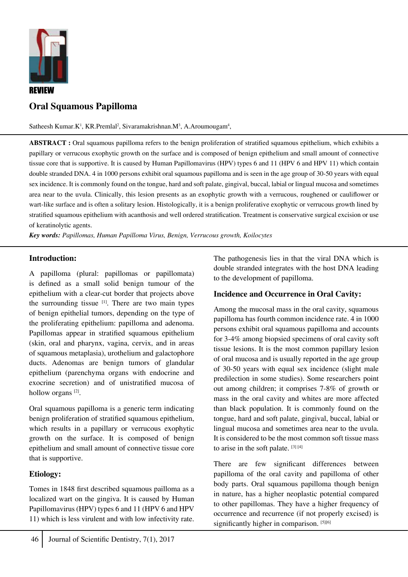

# **Oral Squamous Papilloma**

Satheesh Kumar.K<sup>1</sup>, KR.Premlal<sup>2</sup>, Sivaramakrishnan.M<sup>3</sup>, A.Aroumougam<sup>4</sup>,

**ABSTRACT :** Oral squamous papilloma refers to the benign proliferation of stratified squamous epithelium, which exhibits a papillary or verrucous exophytic growth on the surface and is composed of benign epithelium and small amount of connective tissue core that is supportive. It is caused by Human Papillomavirus (HPV) types 6 and 11 (HPV 6 and HPV 11) which contain double stranded DNA. 4 in 1000 persons exhibit oral squamous papilloma and is seen in the age group of 30-50 years with equal sex incidence. It is commonly found on the tongue, hard and soft palate, gingival, buccal, labial or lingual mucosa and sometimes area near to the uvula. Clinically, this lesion presents as an exophytic growth with a verrucous, roughened or cauliflower or wart-like surface and is often a solitary lesion. Histologically, it is a benign proliferative exophytic or verrucous growth lined by stratified squamous epithelium with acanthosis and well ordered stratification. Treatment is conservative surgical excision or use of keratinolytic agents.

*Key words: Papillomas, Human Papilloma Virus, Benign, Verrucous growth, Koilocytes*

#### **Introduction:**

A papilloma (plural: papillomas or papillomata) is defined as a small solid benign tumour of the epithelium with a clear-cut border that projects above the surrounding tissue [1]. There are two main types of benign epithelial tumors, depending on the type of the proliferating epithelium: papilloma and adenoma. Papillomas appear in stratified squamous epithelium (skin, oral and pharynx, vagina, cervix, and in areas of squamous metaplasia), urothelium and galactophore ducts. Adenomas are benign tumors of glandular epithelium (parenchyma organs with endocrine and exocrine secretion) and of unistratified mucosa of hollow organs<sup>[2]</sup>.

Oral squamous papilloma is a generic term indicating benign proliferation of stratified squamous epithelium, which results in a papillary or verrucous exophytic growth on the surface. It is composed of benign epithelium and small amount of connective tissue core that is supportive.

#### **Etiology:**

Tomes in 1848 first described squamous pailloma as a localized wart on the gingiva. It is caused by Human Papillomavirus (HPV) types 6 and 11 (HPV 6 and HPV 11) which is less virulent and with low infectivity rate. The pathogenesis lies in that the viral DNA which is double stranded integrates with the host DNA leading to the development of papilloma.

#### **Incidence and Occurrence in Oral Cavity:**

Among the mucosal mass in the oral cavity, squamous papilloma has fourth common incidence rate. 4 in 1000 persons exhibit oral squamous papilloma and accounts for 3-4% among biopsied specimens of oral cavity soft tissue lesions. It is the most common papillary lesion of oral mucosa and is usually reported in the age group of 30-50 years with equal sex incidence (slight male predilection in some studies). Some researchers point out among children; it comprises 7-8% of growth or mass in the oral cavity and whites are more affected than black population. It is commonly found on the tongue, hard and soft palate, gingival, buccal, labial or lingual mucosa and sometimes area near to the uvula. It is considered to be the most common soft tissue mass to arise in the soft palate. [3] [4]

There are few significant differences between papilloma of the oral cavity and papilloma of other body parts. Oral squamous papilloma though benign in nature, has a higher neoplastic potential compared to other papillomas. They have a higher frequency of occurrence and recurrence (if not properly excised) is significantly higher in comparison. [5][6]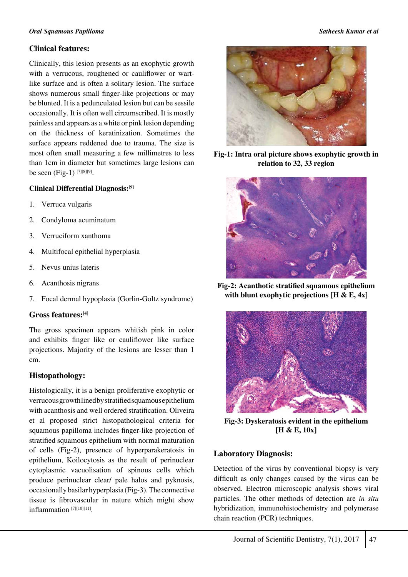#### *Oral Squamous Papilloma Satheesh Kumar et al*

# **Clinical features:**

Clinically, this lesion presents as an exophytic growth with a verrucous, roughened or cauliflower or wartlike surface and is often a solitary lesion. The surface shows numerous small finger-like projections or may be blunted. It is a pedunculated lesion but can be sessile occasionally. It is often well circumscribed. It is mostly painless and appears as a white or pink lesion depending on the thickness of keratinization. Sometimes the surface appears reddened due to trauma. The size is most often small measuring a few millimetres to less than 1cm in diameter but sometimes large lesions can be seen (Fig-1) [7][8][9].

#### **Clinical Differential Diagnosis:[9]**

- 1. Verruca vulgaris
- 2. Condyloma acuminatum
- 3. Verruciform xanthoma
- 4. Multifocal epithelial hyperplasia
- 5. Nevus unius lateris
- 6. Acanthosis nigrans
- 7. Focal dermal hypoplasia (Gorlin-Goltz syndrome)

#### **Gross features:[4]**

The gross specimen appears whitish pink in color and exhibits finger like or cauliflower like surface projections. Majority of the lesions are lesser than 1 cm.

#### **Histopathology:**

Histologically, it is a benign proliferative exophytic or verrucous growth lined by stratified squamous epithelium with acanthosis and well ordered stratification. Oliveira et al proposed strict histopathological criteria for squamous papilloma includes finger-like projection of stratified squamous epithelium with normal maturation of cells (Fig-2), presence of hyperparakeratosis in epithelium, Koilocytosis as the result of perinuclear cytoplasmic vacuolisation of spinous cells which produce perinuclear clear/ pale halos and pyknosis, occasionally basilar hyperplasia (Fig-3). The connective tissue is fibrovascular in nature which might show inflammation<sup>[7][10][11]</sup>.



**Fig-1: Intra oral picture shows exophytic growth in relation to 32, 33 region**



**Fig-2: Acanthotic stratified squamous epithelium with blunt exophytic projections [H & E, 4x]**



**Fig-3: Dyskeratosis evident in the epithelium [H & E, 10x]**

#### **Laboratory Diagnosis:**

Detection of the virus by conventional biopsy is very difficult as only changes caused by the virus can be observed. Electron microscopic analysis shows viral particles. The other methods of detection are *in situ* hybridization, immunohistochemistry and polymerase chain reaction (PCR) techniques.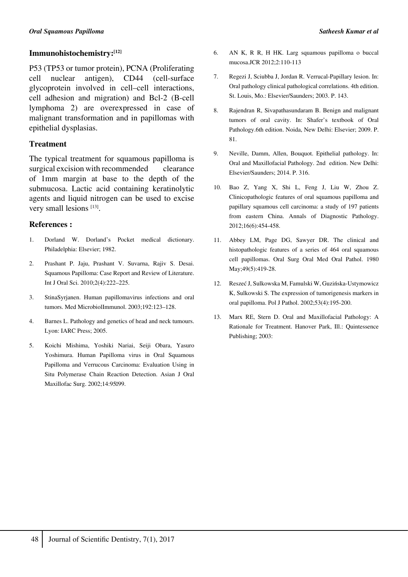# **Immunohistochemistry:[12]**

P53 (TP53 or tumor protein), PCNA (Proliferating cell nuclear antigen), CD44 (cell-surface glycoprotein involved in cell–cell interactions, cell adhesion and migration) and Bcl-2 (B-cell lymphoma 2) are overexpressed in case of malignant transformation and in papillomas with epithelial dysplasias.

## **Treatment**

The typical treatment for squamous papilloma is surgical excision with recommended clearance of 1mm margin at base to the depth of the submucosa. Lactic acid containing keratinolytic agents and liquid nitrogen can be used to excise very small lesions [13].

#### **References :**

- 1. Dorland W. Dorland's Pocket medical dictionary. Philadelphia: Elsevier; 1982.
- 2. Prashant P. Jaju, Prashant V. Suvarna, Rajiv S. Desai. Squamous Papilloma: Case Report and Review of Literature. Int J Oral Sci. 2010;2(4):222–225.
- 3. StinaSyrjanen. Human papillomavirus infections and oral tumors. Med MicrobiolImmunol. 2003;192:123–128.
- 4. Barnes L. Pathology and genetics of head and neck tumours. Lyon: IARC Press; 2005.
- 5. Koichi Mishima, Yoshiki Nariai, Seiji Obara, Yasuro Yoshimura. Human Papilloma virus in Oral Squamous Papilloma and Verrucous Carcinoma: Evaluation Using in Situ Polymerase Chain Reaction Detection. Asian J Oral Maxillofac Surg. 2002;14:95099.
- 6. AN K, R R, H HK. Larg squamous papilloma o buccal mucosa.JCR 2012;2:110-113
- 7. Regezi J, Sciubba J, Jordan R. Verrucal-Papillary lesion. In: Oral pathology clinical pathological correlations. 4th edition. St. Louis, Mo.: Elsevier/Saunders; 2003. P. 143.
- 8. Rajendran R, Sivapathasundaram B. Benign and malignant tumors of oral cavity. In: Shafer's textbook of Oral Pathology.6th edition. Noida, New Delhi: Elsevier; 2009. P. 81.
- 9. Neville, Damm, Allen, Bouquot. Epithelial pathology. In: Oral and Maxillofacial Pathology. 2nd edition. New Delhi: Elsevier/Saunders; 2014. P. 316.
- 10. Bao Z, Yang X, Shi L, Feng J, Liu W, Zhou Z. Clinicopathologic features of oral squamous papilloma and papillary squamous cell carcinoma: a study of 197 patients from eastern China. Annals of Diagnostic Pathology. 2012;16(6):454-458.
- 11. Abbey LM, Page DG, Sawyer DR. The clinical and histopathologic features of a series of 464 oral squamous cell papillomas. Oral Surg Oral Med Oral Pathol. 1980 May; 49(5): 419-28.
- 12. Reszeć J, Sulkowska M, Famulski W, Guzińska-Ustymowicz K, Sulkowski S. The expression of tumorigenesis markers in oral papilloma. Pol J Pathol. 2002;53(4):195-200.
- 13. Marx RE, Stern D. Oral and Maxillofacial Pathology: A Rationale for Treatment. Hanover Park, Ill.: Quintessence Publishing; 2003: